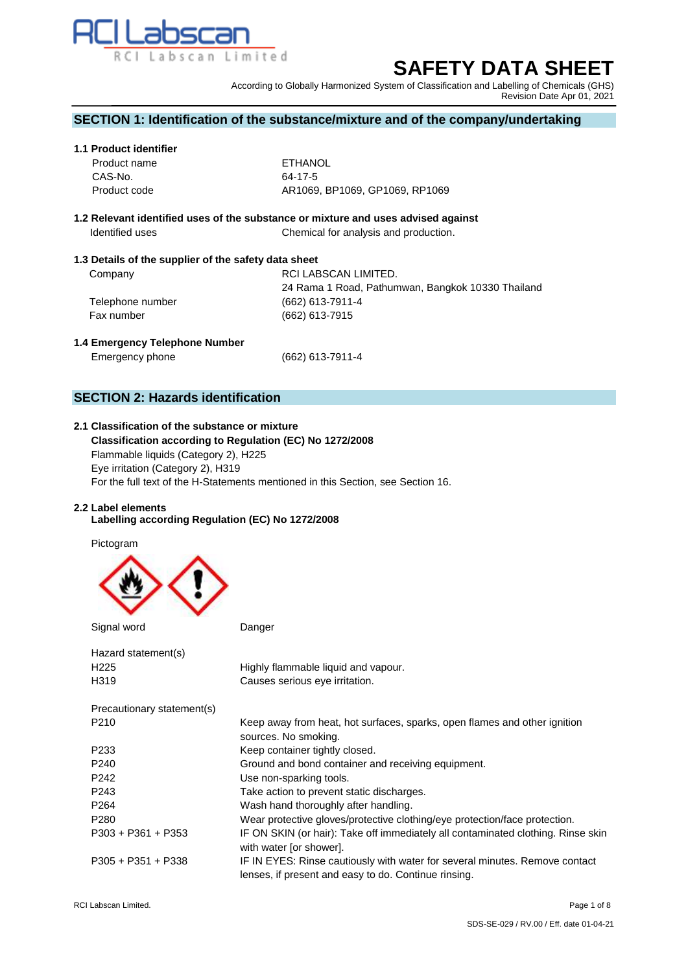

# **SAFETY DATA SHEET**

According to Globally Harmonized System of Classification and Labelling of Chemicals (GHS) Revision Date Apr 01, 2021

# **SECTION 1: Identification of the substance/mixture and of the company/undertaking**

# **1.1 Product identifier**

| Product name | ETHANOL                        |
|--------------|--------------------------------|
| CAS-No.      | 64-17-5                        |
| Product code | AR1069, BP1069, GP1069, RP1069 |

**1.2 Relevant identified uses of the substance or mixture and uses advised against Identified uses** Chemical for analysis and production.

### **1.3 Details of the supplier of the safety data sheet**

| Company          | RCI LABSCAN LIMITED.                              |
|------------------|---------------------------------------------------|
|                  | 24 Rama 1 Road, Pathumwan, Bangkok 10330 Thailand |
| Telephone number | (662) 613-7911-4                                  |
| Fax number       | (662) 613-7915                                    |
|                  |                                                   |

# **1.4 Emergency Telephone Number**

Emergency phone (662) 613-7911-4

# **SECTION 2: Hazards identification**

# **2.1 Classification of the substance or mixture**

 **Classification according to Regulation (EC) No 1272/2008** Flammable liquids (Category 2), H225 Eye irritation (Category 2), H319 For the full text of the H-Statements mentioned in this Section, see Section 16.

# **2.2 Label elements**

# **Labelling according Regulation (EC) No 1272/2008**

Pictogram



| Signal word                | Danger                                                                                                                              |
|----------------------------|-------------------------------------------------------------------------------------------------------------------------------------|
| Hazard statement(s)        |                                                                                                                                     |
| H <sub>225</sub>           | Highly flammable liquid and vapour.                                                                                                 |
| H319                       | Causes serious eye irritation.                                                                                                      |
| Precautionary statement(s) |                                                                                                                                     |
| P <sub>210</sub>           | Keep away from heat, hot surfaces, sparks, open flames and other ignition<br>sources. No smoking.                                   |
| P <sub>233</sub>           | Keep container tightly closed.                                                                                                      |
| P <sub>240</sub>           | Ground and bond container and receiving equipment.                                                                                  |
| P <sub>242</sub>           | Use non-sparking tools.                                                                                                             |
| P <sub>243</sub>           | Take action to prevent static discharges.                                                                                           |
| P <sub>264</sub>           | Wash hand thoroughly after handling.                                                                                                |
| P <sub>280</sub>           | Wear protective gloves/protective clothing/eye protection/face protection.                                                          |
| $P303 + P361 + P353$       | IF ON SKIN (or hair): Take off immediately all contaminated clothing. Rinse skin<br>with water [or shower].                         |
| $P305 + P351 + P338$       | IF IN EYES: Rinse cautiously with water for several minutes. Remove contact<br>lenses, if present and easy to do. Continue rinsing. |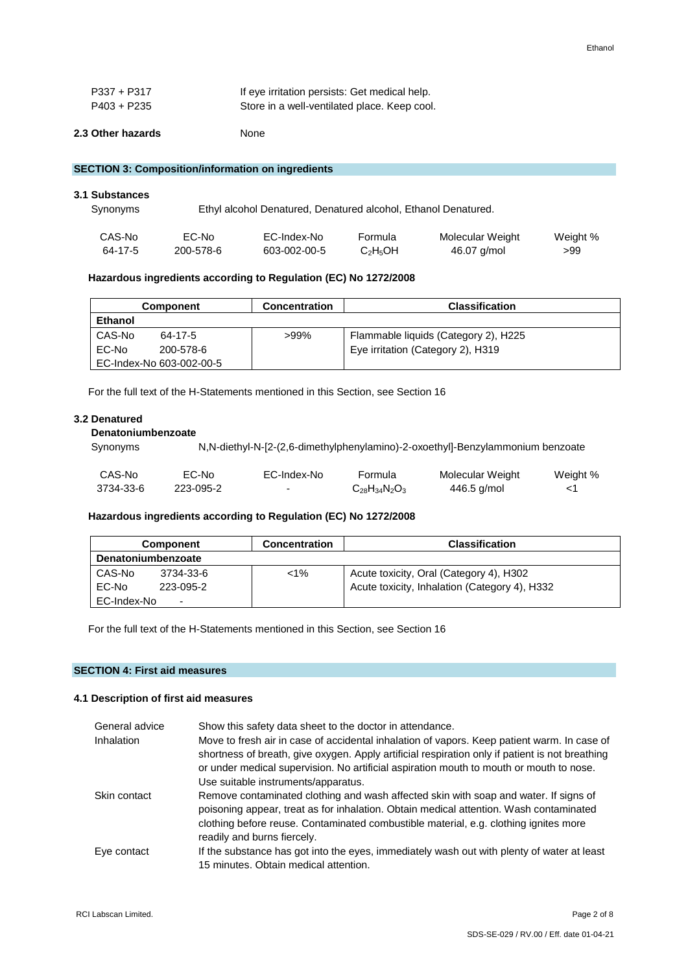| P337 + P317 | If eye irritation persists: Get medical help. |
|-------------|-----------------------------------------------|
| P403 + P235 | Store in a well-ventilated place. Keep cool.  |

# **2.3 Other hazards** None

# **SECTION 3: Composition/information on ingredients**

| <b>3.1 Substances</b><br>Synonyms |           | Ethyl alcohol Denatured, Denatured alcohol, Ethanol Denatured. |            |                  |          |
|-----------------------------------|-----------|----------------------------------------------------------------|------------|------------------|----------|
| CAS-No                            | EC-No     | EC-Index-No                                                    | Formula    | Molecular Weight | Weight % |
| 64-17-5                           | 200-578-6 | 603-002-00-5                                                   | $C_2H_5OH$ | 46.07 g/mol      | >99      |

#### **Hazardous ingredients according to Regulation (EC) No 1272/2008**

| <b>Component</b>         | <b>Concentration</b> | <b>Classification</b>                |
|--------------------------|----------------------|--------------------------------------|
| <b>Ethanol</b>           |                      |                                      |
| CAS-No<br>64-17-5        | $>99\%$              | Flammable liquids (Category 2), H225 |
| EC-No<br>200-578-6       |                      | Eye irritation (Category 2), H319    |
| EC-Index-No 603-002-00-5 |                      |                                      |

For the full text of the H-Statements mentioned in this Section, see Section 16

#### **3.2 Denatured**

### **Denatoniumbenzoate**

Synonyms N,N-diethyl-N-[2-(2,6-dimethylphenylamino)-2-oxoethyl]-Benzylammonium benzoate

| CAS-No    | EC-No     | EC-Index-No | Formula                                                     | Molecular Weight | Weight % |
|-----------|-----------|-------------|-------------------------------------------------------------|------------------|----------|
| 3734-33-6 | 223-095-2 | -           | $\mathrm{C}_{28} \mathrm{H}_{34} \mathrm{N}_2 \mathrm{O}_3$ | 446.5 g/mol      |          |

# **Hazardous ingredients according to Regulation (EC) No 1272/2008**

|                           | <b>Component</b>         | <b>Concentration</b> | <b>Classification</b>                         |
|---------------------------|--------------------------|----------------------|-----------------------------------------------|
| <b>Denatoniumbenzoate</b> |                          |                      |                                               |
| CAS-No                    | 3734-33-6                | $1\%$                | Acute toxicity, Oral (Category 4), H302       |
| EC-No                     | 223-095-2                |                      | Acute toxicity, Inhalation (Category 4), H332 |
| EC-Index-No               | $\overline{\phantom{0}}$ |                      |                                               |

For the full text of the H-Statements mentioned in this Section, see Section 16

# **SECTION 4: First aid measures**

# **4.1 Description of first aid measures**

| General advice    | Show this safety data sheet to the doctor in attendance.                                                                                                                                                                                                                                              |
|-------------------|-------------------------------------------------------------------------------------------------------------------------------------------------------------------------------------------------------------------------------------------------------------------------------------------------------|
| <b>Inhalation</b> | Move to fresh air in case of accidental inhalation of vapors. Keep patient warm. In case of<br>shortness of breath, give oxygen. Apply artificial respiration only if patient is not breathing<br>or under medical supervision. No artificial aspiration mouth to mouth or mouth to nose.             |
|                   | Use suitable instruments/apparatus.                                                                                                                                                                                                                                                                   |
| Skin contact      | Remove contaminated clothing and wash affected skin with soap and water. If signs of<br>poisoning appear, treat as for inhalation. Obtain medical attention. Wash contaminated<br>clothing before reuse. Contaminated combustible material, e.g. clothing ignites more<br>readily and burns fiercely. |
| Eye contact       | If the substance has got into the eyes, immediately wash out with plenty of water at least<br>15 minutes. Obtain medical attention.                                                                                                                                                                   |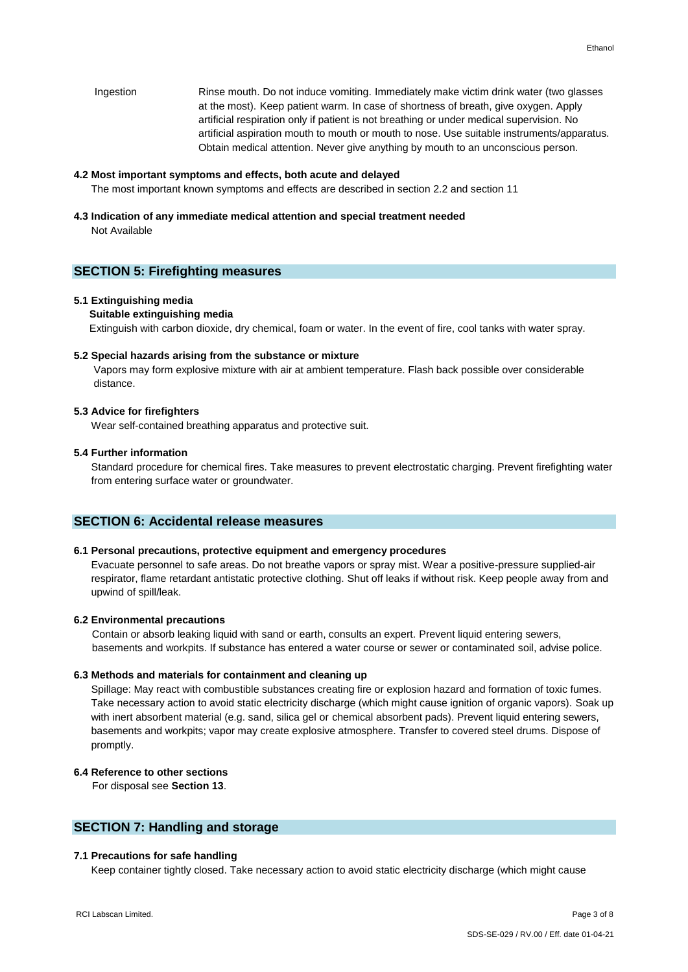Ingestion Rinse mouth. Do not induce vomiting. Immediately make victim drink water (two glasses at the most). Keep patient warm. In case of shortness of breath, give oxygen. Apply artificial respiration only if patient is not breathing or under medical supervision. No artificial aspiration mouth to mouth or mouth to nose. Use suitable instruments/apparatus. Obtain medical attention. Never give anything by mouth to an unconscious person.

#### **4.2 Most important symptoms and effects, both acute and delayed**

The most important known symptoms and effects are described in section 2.2 and section 11

# **4.3 Indication of any immediate medical attention and special treatment needed**

Not Available

# **SECTION 5: Firefighting measures**

#### **5.1 Extinguishing media**

#### **Suitable extinguishing media**

Extinguish with carbon dioxide, dry chemical, foam or water. In the event of fire, cool tanks with water spray.

#### **5.2 Special hazards arising from the substance or mixture**

Vapors may form explosive mixture with air at ambient temperature. Flash back possible over considerable distance.

#### **5.3 Advice for firefighters**

Wear self-contained breathing apparatus and protective suit.

# **5.4 Further information**

 Standard procedure for chemical fires. Take measures to prevent electrostatic charging. Prevent firefighting water from entering surface water or groundwater.

# **SECTION 6: Accidental release measures**

### **6.1 Personal precautions, protective equipment and emergency procedures**

Evacuate personnel to safe areas. Do not breathe vapors or spray mist. Wear a positive-pressure supplied-air respirator, flame retardant antistatic protective clothing. Shut off leaks if without risk. Keep people away from and upwind of spill/leak.

#### **6.2 Environmental precautions**

Contain or absorb leaking liquid with sand or earth, consults an expert. Prevent liquid entering sewers, basements and workpits. If substance has entered a water course or sewer or contaminated soil, advise police.

#### **6.3 Methods and materials for containment and cleaning up**

Spillage: May react with combustible substances creating fire or explosion hazard and formation of toxic fumes. Take necessary action to avoid static electricity discharge (which might cause ignition of organic vapors). Soak up with inert absorbent material (e.g. sand, silica gel or chemical absorbent pads). Prevent liquid entering sewers, basements and workpits; vapor may create explosive atmosphere. Transfer to covered steel drums. Dispose of promptly.

# **6.4 Reference to other sections**

For disposal see **Section 13**.

# **SECTION 7: Handling and storage**

#### **7.1 Precautions for safe handling**

Keep container tightly closed. Take necessary action to avoid static electricity discharge (which might cause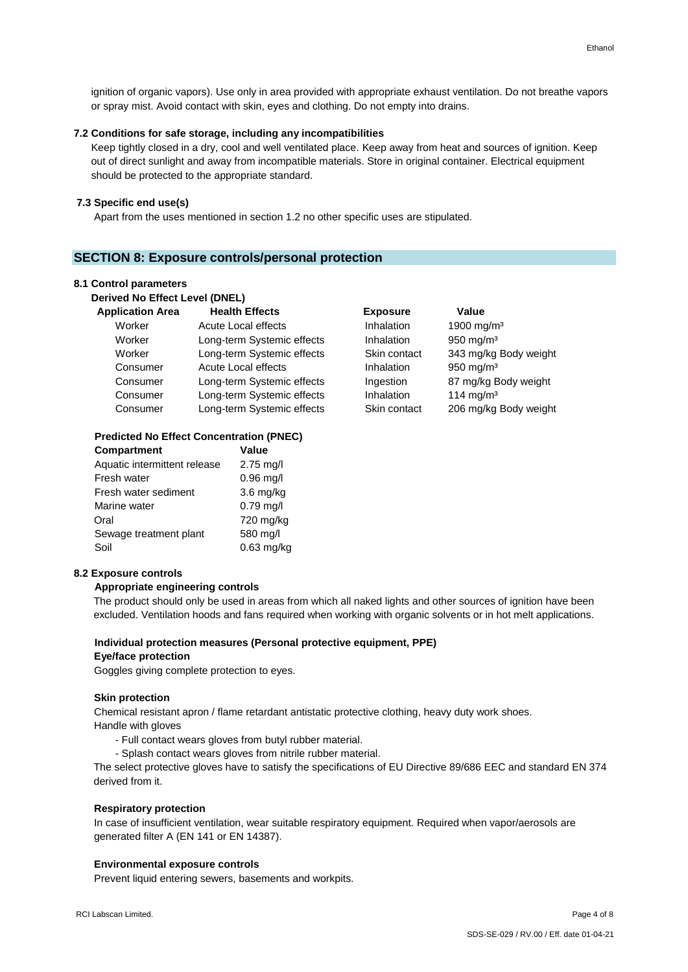ignition of organic vapors). Use only in area provided with appropriate exhaust ventilation. Do not breathe vapors or spray mist. Avoid contact with skin, eyes and clothing. Do not empty into drains.

# **7.2 Conditions for safe storage, including any incompatibilities**

Keep tightly closed in a dry, cool and well ventilated place. Keep away from heat and sources of ignition. Keep out of direct sunlight and away from incompatible materials. Store in original container. Electrical equipment should be protected to the appropriate standard.

# **7.3 Specific end use(s)**

Apart from the uses mentioned in section 1.2 no other specific uses are stipulated.

# **SECTION 8: Exposure controls/personal protection**

#### **8.1 Control parameters**

**Derived No Effect Level (DNEL)** 

| <b>Application Area</b> | <b>Health Effects</b>      | <b>Exposure</b> | Value                  |
|-------------------------|----------------------------|-----------------|------------------------|
| Worker                  | Acute Local effects        | Inhalation      | 1900 mg/m <sup>3</sup> |
| Worker                  | Long-term Systemic effects | Inhalation      | 950 mg/m $3$           |
| Worker                  | Long-term Systemic effects | Skin contact    | 343 mg/kg Body weight  |
| Consumer                | Acute Local effects        | Inhalation      | 950 mg/m $3$           |
| Consumer                | Long-term Systemic effects | Ingestion       | 87 mg/kg Body weight   |
| Consumer                | Long-term Systemic effects | Inhalation      | 114 mg/m <sup>3</sup>  |
| Consumer                | Long-term Systemic effects | Skin contact    | 206 mg/kg Body weight  |

#### **Predicted No Effect Concentration (PNEC)**

| <b>Compartment</b>           | Value        |
|------------------------------|--------------|
| Aquatic intermittent release | 2.75 mg/l    |
| Fresh water                  | $0.96$ mg/l  |
| Fresh water sediment         | $3.6$ mg/kg  |
| Marine water                 | $0.79$ mg/l  |
| Oral                         | 720 mg/kg    |
| Sewage treatment plant       | 580 mg/l     |
| Soil                         | $0.63$ mg/kg |
|                              |              |

#### **8.2 Exposure controls**

#### **Appropriate engineering controls**

The product should only be used in areas from which all naked lights and other sources of ignition have been excluded. Ventilation hoods and fans required when working with organic solvents or in hot melt applications.

# **Individual protection measures (Personal protective equipment, PPE)**

# **Eye/face protection**

Goggles giving complete protection to eyes.

#### **Skin protection**

 Chemical resistant apron / flame retardant antistatic protective clothing, heavy duty work shoes. Handle with gloves

- Full contact wears gloves from butyl rubber material.
- Splash contact wears gloves from nitrile rubber material.

The select protective gloves have to satisfy the specifications of EU Directive 89/686 EEC and standard EN 374 derived from it.

#### **Respiratory protection**

In case of insufficient ventilation, wear suitable respiratory equipment. Required when vapor/aerosols are generated filter A (EN 141 or EN 14387).

#### **Environmental exposure controls**

Prevent liquid entering sewers, basements and workpits.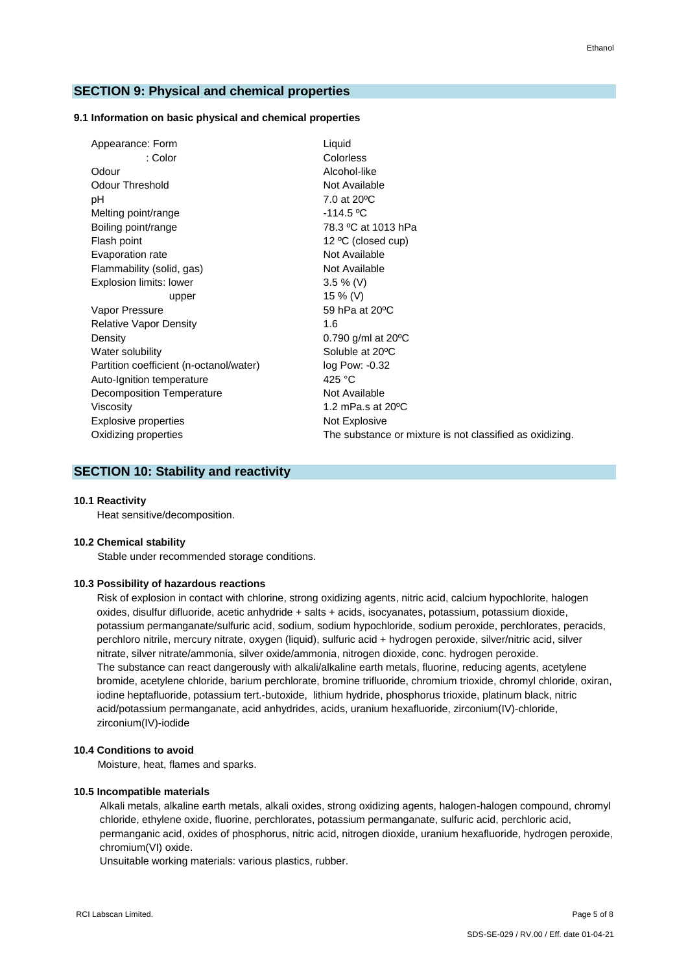# **SECTION 9: Physical and chemical properties**

#### **9.1 Information on basic physical and chemical properties**

| Appearance: Form                        | Liquid                                                   |
|-----------------------------------------|----------------------------------------------------------|
| : Color                                 | <b>Colorless</b>                                         |
| Odour                                   | Alcohol-like                                             |
| <b>Odour Threshold</b>                  | Not Available                                            |
| рH                                      | 7.0 at 20 °C                                             |
| Melting point/range                     | $-114.5 °C$                                              |
| Boiling point/range                     | 78.3 °C at 1013 hPa                                      |
| Flash point                             | 12 °C (closed cup)                                       |
| Evaporation rate                        | Not Available                                            |
| Flammability (solid, gas)               | Not Available                                            |
| Explosion limits: lower                 | $3.5 \%$ (V)                                             |
| upper                                   | 15 % (V)                                                 |
| Vapor Pressure                          | 59 hPa at 20°C                                           |
| <b>Relative Vapor Density</b>           | 1.6                                                      |
| Density                                 | 0.790 g/ml at $20^{\circ}$ C                             |
| Water solubility                        | Soluble at 20°C                                          |
| Partition coefficient (n-octanol/water) | log Pow: -0.32                                           |
| Auto-Ignition temperature               | 425 °C                                                   |
| Decomposition Temperature               | Not Available                                            |
| Viscosity                               | 1.2 mPa.s at $20^{\circ}$ C                              |
| Explosive properties                    | Not Explosive                                            |
| Oxidizing properties                    | The substance or mixture is not classified as oxidizing. |

#### **SECTION 10: Stability and reactivity**

#### **10.1 Reactivity**

Heat sensitive/decomposition.

## **10.2 Chemical stability**

Stable under recommended storage conditions.

#### **10.3 Possibility of hazardous reactions**

Risk of explosion in contact with chlorine, strong oxidizing agents, nitric acid, calcium hypochlorite, halogen oxides, disulfur difluoride, acetic anhydride + salts + acids, isocyanates, potassium, potassium dioxide, potassium permanganate/sulfuric acid, sodium, sodium hypochloride, sodium peroxide, perchlorates, peracids, perchloro nitrile, mercury nitrate, oxygen (liquid), sulfuric acid + hydrogen peroxide, silver/nitric acid, silver nitrate, silver nitrate/ammonia, silver oxide/ammonia, nitrogen dioxide, conc. hydrogen peroxide. The substance can react dangerously with alkali/alkaline earth metals, fluorine, reducing agents, acetylene bromide, acetylene chloride, barium perchlorate, bromine trifluoride, chromium trioxide, chromyl chloride, oxiran, iodine heptafluoride, potassium tert.-butoxide, lithium hydride, phosphorus trioxide, platinum black, nitric acid/potassium permanganate, acid anhydrides, acids, uranium hexafluoride, zirconium(IV)-chloride, zirconium(IV)-iodide

# **10.4 Conditions to avoid**

Moisture, heat, flames and sparks.

#### **10.5 Incompatible materials**

Alkali metals, alkaline earth metals, alkali oxides, strong oxidizing agents, halogen-halogen compound, chromyl chloride, ethylene oxide, fluorine, perchlorates, potassium permanganate, sulfuric acid, perchloric acid, permanganic acid, oxides of phosphorus, nitric acid, nitrogen dioxide, uranium hexafluoride, hydrogen peroxide, chromium(VI) oxide.

Unsuitable working materials: various plastics, rubber.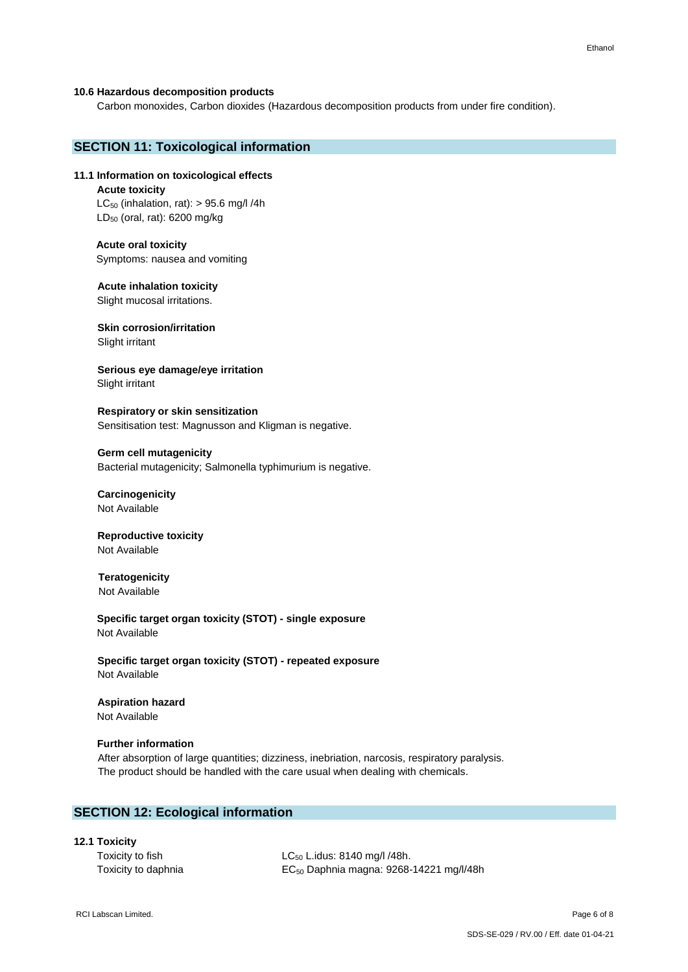#### **10.6 Hazardous decomposition products**

Carbon monoxides, Carbon dioxides (Hazardous decomposition products from under fire condition).

# **SECTION 11: Toxicological information**

# **11.1 Information on toxicological effects**

#### **Acute toxicity**

 $LC_{50}$  (inhalation, rat):  $> 95.6$  mg/l /4h LD<sup>50</sup> (oral, rat): 6200 mg/kg

**Acute oral toxicity** Symptoms: nausea and vomiting

**Acute inhalation toxicity**

Slight mucosal irritations.

**Skin corrosion/irritation** Slight irritant

**Serious eye damage/eye irritation** Slight irritant

**Respiratory or skin sensitization** Sensitisation test: Magnusson and Kligman is negative.

#### **Germ cell mutagenicity**

Bacterial mutagenicity; Salmonella typhimurium is negative.

**Carcinogenicity** Not Available

**Reproductive toxicity** Not Available

 **Teratogenicity** Not Available

 **Specific target organ toxicity (STOT) - single exposure** Not Available

**Specific target organ toxicity (STOT) - repeated exposure** Not Available

#### **Aspiration hazard** Not Available

# **Further information**

After absorption of large quantities; dizziness, inebriation, narcosis, respiratory paralysis. The product should be handled with the care usual when dealing with chemicals.

# **SECTION 12: Ecological information**

**12.1 Toxicity**

Toxicity to fish  $LC_{50}$  L.idus: 8140 mg/l /48h. Toxicity to daphnia **EC<sub>50</sub>** Daphnia magna: 9268-14221 mg/l/48h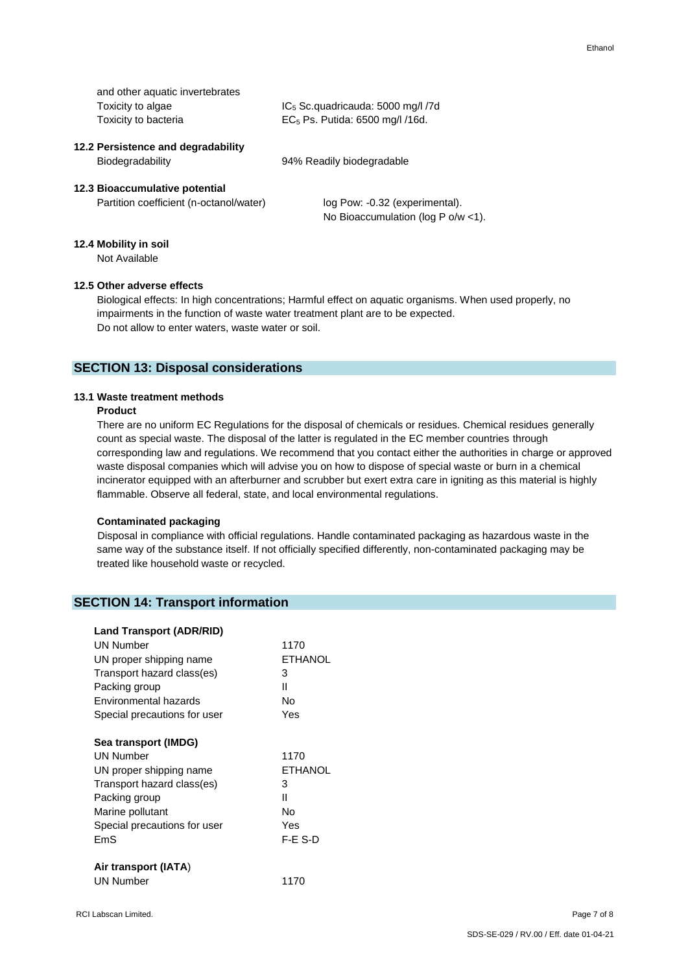| and other aquatic invertebrates<br>Toxicity to algae | $IC5$ Sc.quadricauda: 5000 mg/l /7d |  |
|------------------------------------------------------|-------------------------------------|--|
| Toxicity to bacteria                                 | $EC5$ Ps. Putida: 6500 mg/l /16d.   |  |
| 12.2 Persistence and degradability                   |                                     |  |

| Biodegradability |  | 94% Readily biodegradable |
|------------------|--|---------------------------|

#### **12.3 Bioaccumulative potential**

Partition coefficient (n-octanol/water) log Pow: -0.32 (experimental).

No Bioaccumulation (log P o/w <1).

### **12.4 Mobility in soil**

Not Available

#### **12.5 Other adverse effects**

 Biological effects: In high concentrations; Harmful effect on aquatic organisms. When used properly, no impairments in the function of waste water treatment plant are to be expected. Do not allow to enter waters, waste water or soil.

# **SECTION 13: Disposal considerations**

### **13.1 Waste treatment methods**

#### **Product**

 There are no uniform EC Regulations for the disposal of chemicals or residues. Chemical residues generally count as special waste. The disposal of the latter is regulated in the EC member countries through corresponding law and regulations. We recommend that you contact either the authorities in charge or approved waste disposal companies which will advise you on how to dispose of special waste or burn in a chemical incinerator equipped with an afterburner and scrubber but exert extra care in igniting as this material is highly flammable. Observe all federal, state, and local environmental regulations.

#### **Contaminated packaging**

 Disposal in compliance with official regulations. Handle contaminated packaging as hazardous waste in the same way of the substance itself. If not officially specified differently, non-contaminated packaging may be treated like household waste or recycled.

# **SECTION 14: Transport information**

| <b>Land Transport (ADR/RID)</b> |                |
|---------------------------------|----------------|
| <b>UN Number</b>                | 1170           |
| UN proper shipping name         | <b>ETHANOL</b> |
| Transport hazard class(es)      | 3              |
| Packing group                   | Ш              |
| Environmental hazards           | N٥             |
| Special precautions for user    | Yes            |
| Sea transport (IMDG)            |                |
| <b>UN Number</b>                | 1170           |
| UN proper shipping name         | <b>ETHANOL</b> |
| Transport hazard class(es)      | 3              |
| Packing group                   | Ш              |
| Marine pollutant                | No             |
| Special precautions for user    | Yes            |
| FmS                             | F-E S-D        |
| Air transport (IATA)            |                |
| <b>UN Number</b>                | 1170           |